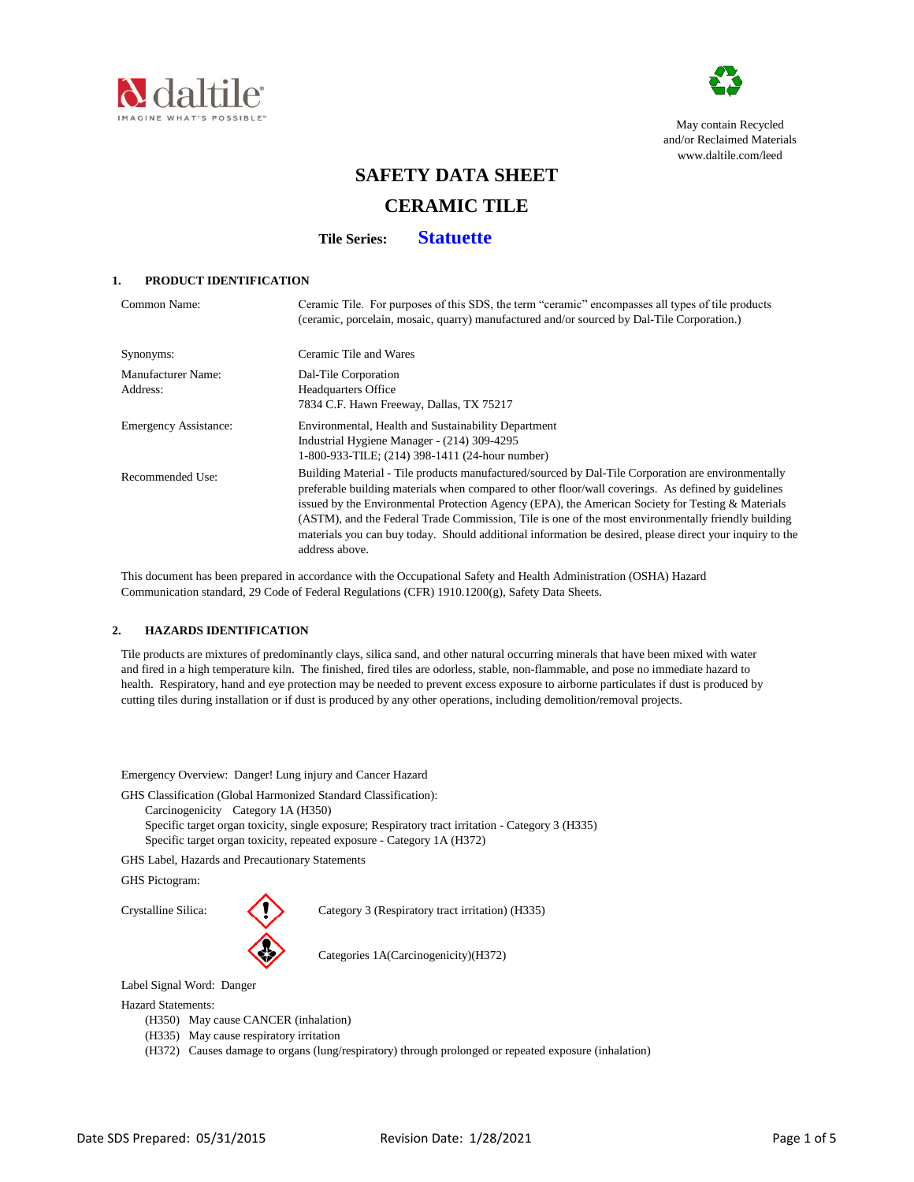



May contain Recycled and/or Reclaimed Materials [www.dalt](http://www.daltile.com/leed)ile.com/leed

# **SAFETY DATA SHEET**

# **CERAMIC TILE**

**Tile Series: Statuette**

## **1. PRODUCT IDENTIFICATION**

| Common Name:                   | Ceramic Tile. For purposes of this SDS, the term "ceramic" encompasses all types of tile products<br>(ceramic, porcelain, mosaic, quarry) manufactured and/or sourced by Dal-Tile Corporation.)                                                                                                                                                                                                                                                                                                                                                     |
|--------------------------------|-----------------------------------------------------------------------------------------------------------------------------------------------------------------------------------------------------------------------------------------------------------------------------------------------------------------------------------------------------------------------------------------------------------------------------------------------------------------------------------------------------------------------------------------------------|
| Synonyms:                      | Ceramic Tile and Wares                                                                                                                                                                                                                                                                                                                                                                                                                                                                                                                              |
| Manufacturer Name:<br>Address: | Dal-Tile Corporation<br><b>Headquarters Office</b><br>7834 C.F. Hawn Freeway, Dallas, TX 75217                                                                                                                                                                                                                                                                                                                                                                                                                                                      |
| <b>Emergency Assistance:</b>   | Environmental, Health and Sustainability Department<br>Industrial Hygiene Manager - (214) 309-4295<br>1-800-933-TILE; (214) 398-1411 (24-hour number)                                                                                                                                                                                                                                                                                                                                                                                               |
| Recommended Use:               | Building Material - Tile products manufactured/sourced by Dal-Tile Corporation are environmentally<br>preferable building materials when compared to other floor/wall coverings. As defined by guidelines<br>issued by the Environmental Protection Agency (EPA), the American Society for Testing & Materials<br>(ASTM), and the Federal Trade Commission, Tile is one of the most environmentally friendly building<br>materials you can buy today. Should additional information be desired, please direct your inquiry to the<br>address above. |

 This document has been prepared in accordance with the Occupational Safety and Health Administration (OSHA) Hazard Communication standard, 29 Code of Federal Regulations (CFR) 1910.1200(g), Safety Data Sheets.

## **2. HAZARDS IDENTIFICATION**

 Tile products are mixtures of predominantly clays, silica sand, and other natural occurring minerals that have been mixed with water and fired in a high temperature kiln. The finished, fired tiles are odorless, stable, non-flammable, and pose no immediate hazard to health. Respiratory, hand and eye protection may be needed to prevent excess exposure to airborne particulates if dust is produced by cutting tiles during installation or if dust is produced by any other operations, including demolition/removal projects.

Emergency Overview: Danger! Lung injury and Cancer Hazard

GHS Classification (Global Harmonized Standard Classification):

Carcinogenicity Category 1A (H350)

Specific target organ toxicity, single exposure; Respiratory tract irritation - Category 3 (H335) Specific target organ toxicity, repeated exposure - Category 1A (H372)

GHS Label, Hazards and Precautionary Statements

GHS Pictogram:



Crystalline Silica: Category 3 (Respiratory tract irritation) (H335)

Categories 1A(Carcinogenicity)(H372)

Label Signal Word: Danger

Hazard Statements:

- (H350) May cause CANCER (inhalation)
- (H335) May cause respiratory irritation
- (H372) Causes damage to organs (lung/respiratory) through prolonged or repeated exposure (inhalation)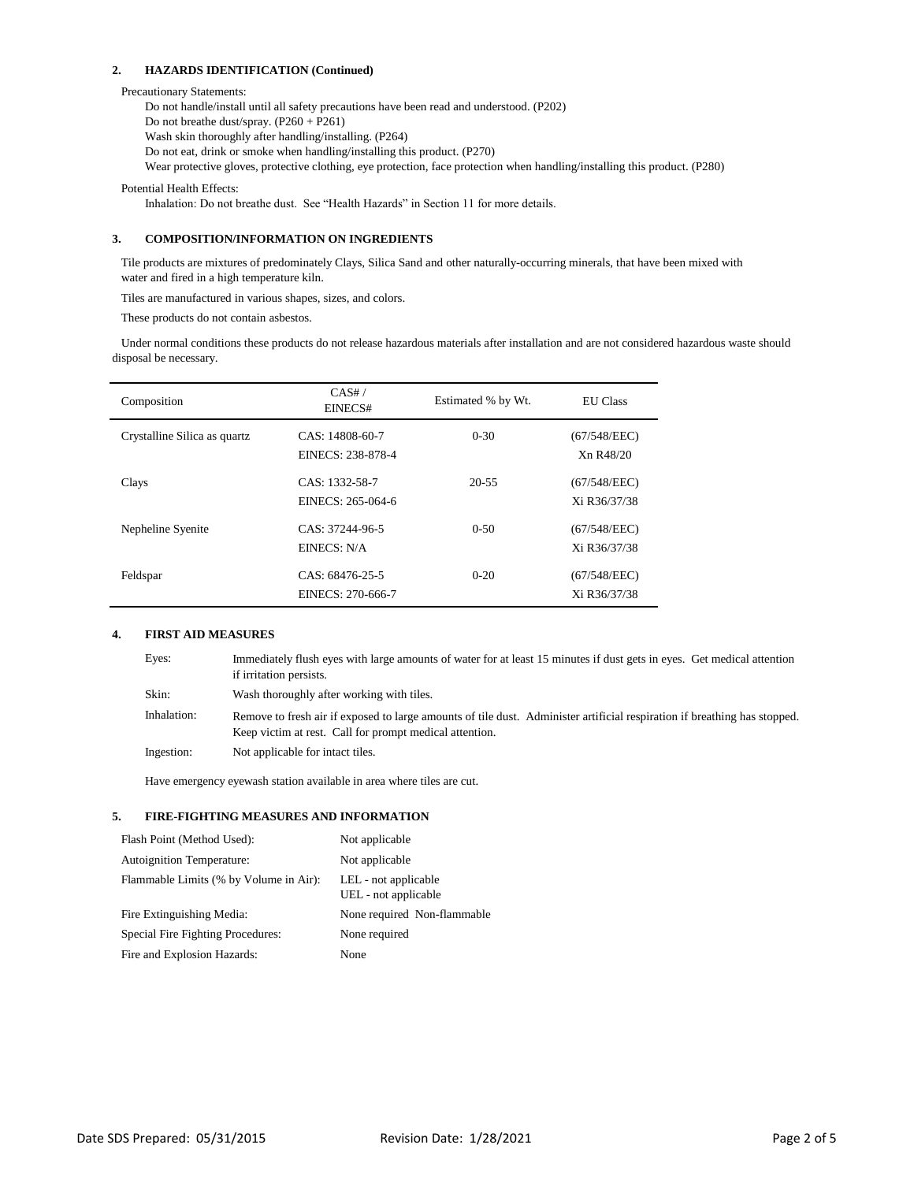## **2. HAZARDS IDENTIFICATION (Continued)**

#### Precautionary Statements:

Do not handle/install until all safety precautions have been read and understood. (P202) Do not breathe dust/spray. (P260 + P261) Wash skin thoroughly after handling/installing. (P264) Do not eat, drink or smoke when handling/installing this product. (P270) Wear protective gloves, protective clothing, eye protection, face protection when handling/installing this product. (P280)

Potential Health Effects:

Inhalation: Do not breathe dust. See "Health Hazards" in Section 11 for more details.

# **3. COMPOSITION/INFORMATION ON INGREDIENTS**

 Tile products are mixtures of predominately Clays, Silica Sand and other naturally-occurring minerals, that have been mixed with water and fired in a high temperature kiln.

Tiles are manufactured in various shapes, sizes, and colors.

These products do not contain asbestos.

 Under normal conditions these products do not release hazardous materials after installation and are not considered hazardous waste should disposal be necessary.

| Composition                   | CAS#/<br>EINECS#                     | Estimated % by Wt. | <b>EU</b> Class              |
|-------------------------------|--------------------------------------|--------------------|------------------------------|
| Crystalline Silica as quartz. | CAS: 14808-60-7<br>EINECS: 238-878-4 | $0 - 30$           | (67/548/EEC)<br>Xn R48/20    |
| Clays                         | CAS: 1332-58-7<br>EINECS: 265-064-6  | $20 - 55$          | (67/548/EEC)<br>Xi R36/37/38 |
| Nepheline Syenite             | CAS: 37244-96-5<br>EINECS: N/A       | $0-50$             | (67/548/EEC)<br>Xi R36/37/38 |
| Feldspar                      | CAS: 68476-25-5<br>EINECS: 270-666-7 | $0 - 20$           | (67/548/EEC)<br>Xi R36/37/38 |

## **4. FIRST AID MEASURES**

| Eyes:       | Immediately flush eyes with large amounts of water for at least 15 minutes if dust gets in eyes. Get medical attention<br>if irritation persists.                                    |
|-------------|--------------------------------------------------------------------------------------------------------------------------------------------------------------------------------------|
| Skin:       | Wash thoroughly after working with tiles.                                                                                                                                            |
| Inhalation: | Remove to fresh air if exposed to large amounts of tile dust. Administer artificial respiration if breathing has stopped.<br>Keep victim at rest. Call for prompt medical attention. |
| Ingestion:  | Not applicable for intact tiles.                                                                                                                                                     |

Have emergency eyewash station available in area where tiles are cut.

## **5. FIRE-FIGHTING MEASURES AND INFORMATION**

| Flash Point (Method Used):             | Not applicable                               |
|----------------------------------------|----------------------------------------------|
| <b>Autoignition Temperature:</b>       | Not applicable                               |
| Flammable Limits (% by Volume in Air): | LEL - not applicable<br>UEL - not applicable |
| Fire Extinguishing Media:              | None required Non-flammable                  |
| Special Fire Fighting Procedures:      | None required                                |
| Fire and Explosion Hazards:            | None                                         |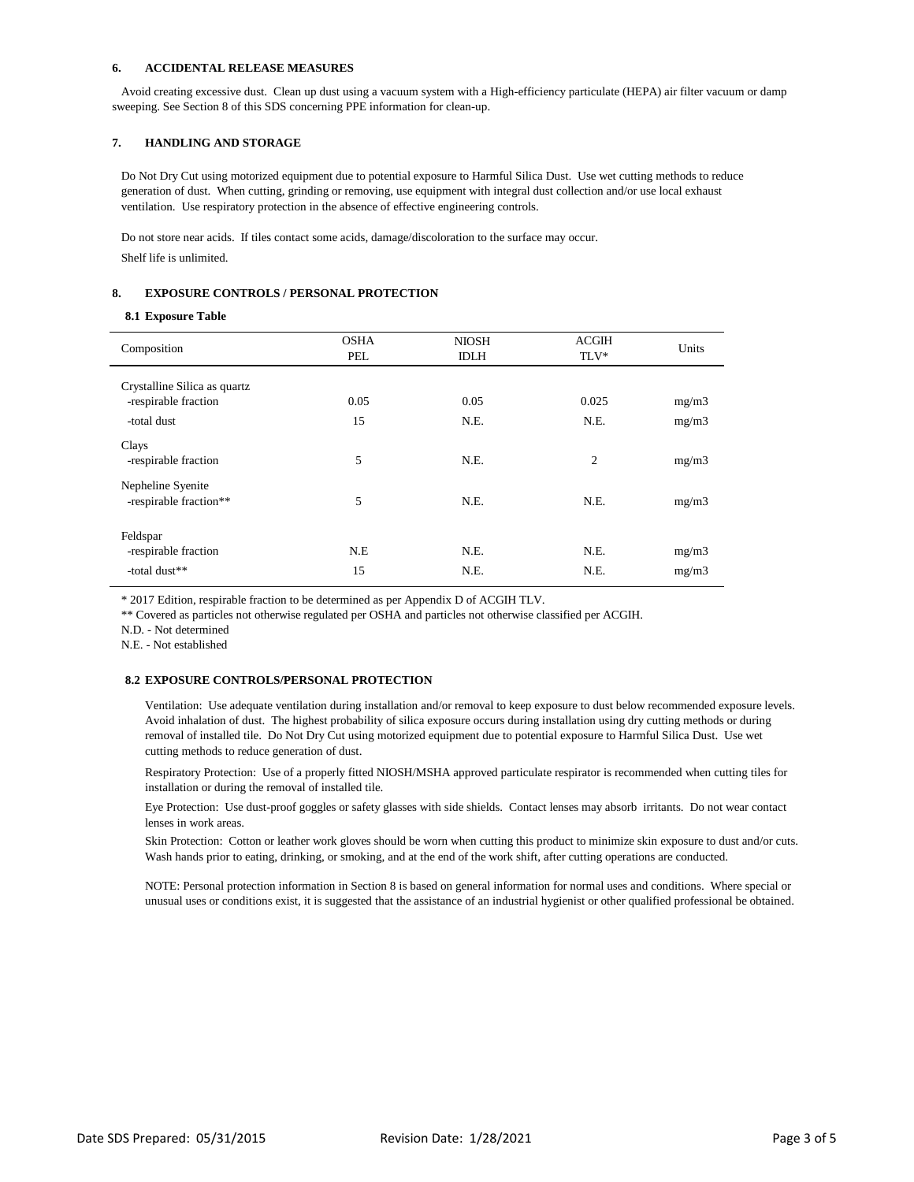### **6. ACCIDENTAL RELEASE MEASURES**

 Avoid creating excessive dust. Clean up dust using a vacuum system with a High-efficiency particulate (HEPA) air filter vacuum or damp sweeping. See Section 8 of this SDS concerning PPE information for clean-up.

## **7. HANDLING AND STORAGE**

 Do Not Dry Cut using motorized equipment due to potential exposure to Harmful Silica Dust. Use wet cutting methods to reduce generation of dust. When cutting, grinding or removing, use equipment with integral dust collection and/or use local exhaust ventilation. Use respiratory protection in the absence of effective engineering controls.

 Do not store near acids. If tiles contact some acids, damage/discoloration to the surface may occur. Shelf life is unlimited.

## **8. EXPOSURE CONTROLS / PERSONAL PROTECTION**

#### **8.1 Exposure Table**

| Composition                                       | <b>OSHA</b><br>PEL | <b>NIOSH</b><br><b>IDLH</b> | <b>ACGIH</b><br>TLV* | Units          |
|---------------------------------------------------|--------------------|-----------------------------|----------------------|----------------|
| Crystalline Silica as quartz                      |                    |                             |                      |                |
| -respirable fraction                              | 0.05               | 0.05                        | 0.025                | mg/m3          |
| -total dust                                       | 15                 | N.E.                        | N.E.                 | mg/m3          |
| Clays<br>-respirable fraction                     | 5                  | N.E.                        | $\overline{c}$       | mg/m3          |
| Nepheline Syenite<br>-respirable fraction**       | 5                  | N.E.                        | N.E.                 | mg/m3          |
| Feldspar<br>-respirable fraction<br>-total dust** | N.E<br>15          | N.E.<br>N.E.                | N.E.<br>N.E.         | mg/m3<br>mg/m3 |
|                                                   |                    |                             |                      |                |

\* 2017 Edition, respirable fraction to be determined as per Appendix D of ACGIH TLV.

\*\* Covered as particles not otherwise regulated per OSHA and particles not otherwise classified per ACGIH.

N.D. - Not determined

N.E. - Not established

## **8.2 EXPOSURE CONTROLS/PERSONAL PROTECTION**

Ventilation: Use adequate ventilation during installation and/or removal to keep exposure to dust below recommended exposure levels. Avoid inhalation of dust. The highest probability of silica exposure occurs during installation using dry cutting methods or during removal of installed tile. Do Not Dry Cut using motorized equipment due to potential exposure to Harmful Silica Dust. Use wet cutting methods to reduce generation of dust.

Respiratory Protection: Use of a properly fitted NIOSH/MSHA approved particulate respirator is recommended when cutting tiles for installation or during the removal of installed tile.

Eye Protection: Use dust-proof goggles or safety glasses with side shields. Contact lenses may absorb irritants. Do not wear contact lenses in work areas.

Skin Protection: Cotton or leather work gloves should be worn when cutting this product to minimize skin exposure to dust and/or cuts. Wash hands prior to eating, drinking, or smoking, and at the end of the work shift, after cutting operations are conducted.

NOTE: Personal protection information in Section 8 is based on general information for normal uses and conditions. Where special or unusual uses or conditions exist, it is suggested that the assistance of an industrial hygienist or other qualified professional be obtained.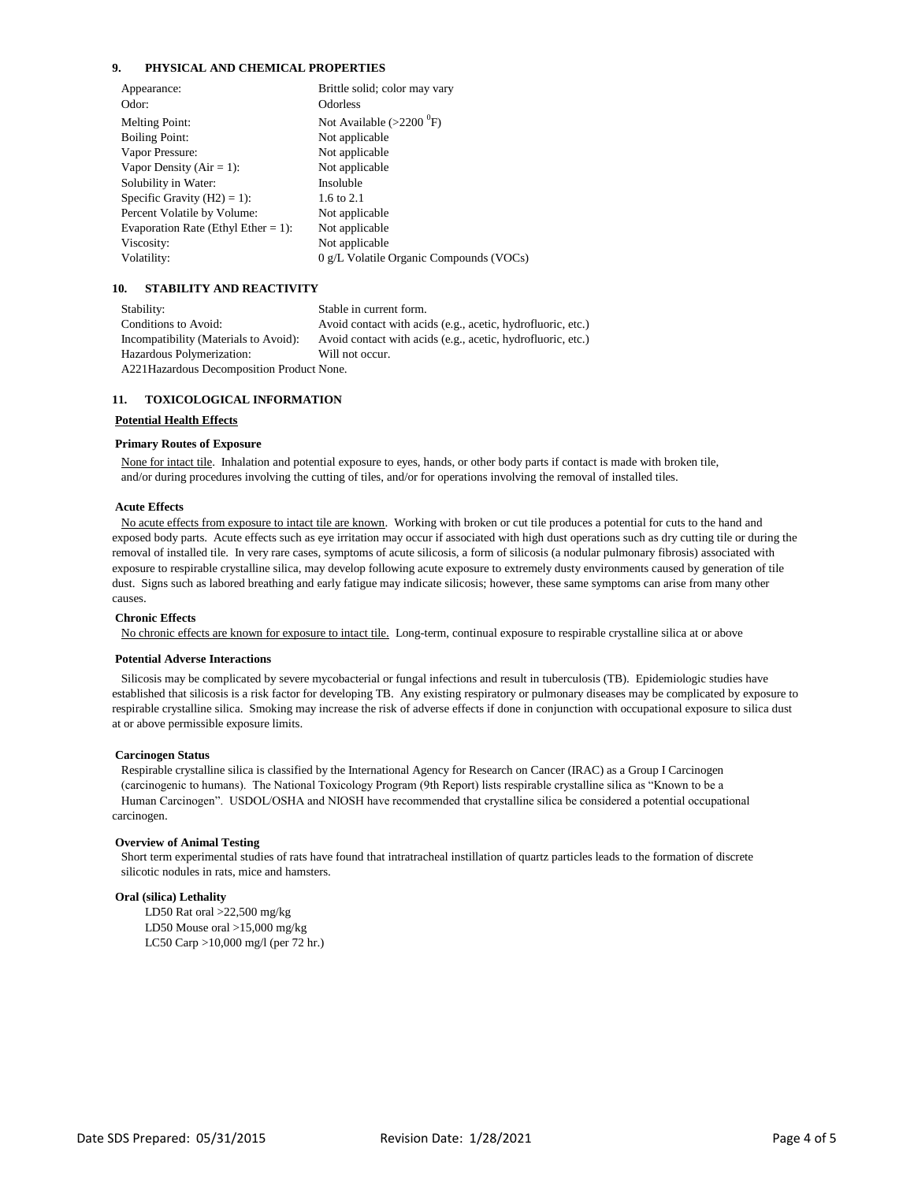## **9. PHYSICAL AND CHEMICAL PROPERTIES**

| Appearance:                         | Brittle solid; color may vary           |
|-------------------------------------|-----------------------------------------|
| Odor:                               | <b>Odorless</b>                         |
| <b>Melting Point:</b>               | Not Available $(>2200$ <sup>0</sup> F)  |
| <b>Boiling Point:</b>               | Not applicable                          |
| Vapor Pressure:                     | Not applicable                          |
| Vapor Density ( $Air = 1$ ):        | Not applicable                          |
| Solubility in Water:                | Insoluble                               |
| Specific Gravity $(H2) = 1$ :       | 1.6 to 2.1                              |
| Percent Volatile by Volume:         | Not applicable                          |
| Evaporation Rate (Ethyl Ether = 1): | Not applicable                          |
| Viscosity:                          | Not applicable                          |
| Volatility:                         | 0 g/L Volatile Organic Compounds (VOCs) |
|                                     |                                         |

## **10. STABILITY AND REACTIVITY**

 Stability: Stable in current form. Conditions to Avoid: Avoid contact with acids (e.g., acetic, hydrofluoric, etc.) Incompatibility (Materials to Avoid): Avoid contact with acids (e.g., acetic, hydrofluoric, etc.) Hazardous Polymerization: Will not occur. A221Hazardous Decomposition Product None.

#### **11. TOXICOLOGICAL INFORMATION**

#### **Potential Health Effects**

#### **Primary Routes of Exposure**

 None for intact tile. Inhalation and potential exposure to eyes, hands, or other body parts if contact is made with broken tile, and/or during procedures involving the cutting of tiles, and/or for operations involving the removal of installed tiles.

## **Acute Effects**

 No acute effects from exposure to intact tile are known. Working with broken or cut tile produces a potential for cuts to the hand and exposed body parts. Acute effects such as eye irritation may occur if associated with high dust operations such as dry cutting tile or during the removal of installed tile. In very rare cases, symptoms of acute silicosis, a form of silicosis (a nodular pulmonary fibrosis) associated with exposure to respirable crystalline silica, may develop following acute exposure to extremely dusty environments caused by generation of tile dust. Signs such as labored breathing and early fatigue may indicate silicosis; however, these same symptoms can arise from many other causes.

#### **Chronic Effects**

No chronic effects are known for exposure to intact tile. Long-term, continual exposure to respirable crystalline silica at or above

#### **Potential Adverse Interactions**

 Silicosis may be complicated by severe mycobacterial or fungal infections and result in tuberculosis (TB). Epidemiologic studies have established that silicosis is a risk factor for developing TB. Any existing respiratory or pulmonary diseases may be complicated by exposure to respirable crystalline silica. Smoking may increase the risk of adverse effects if done in conjunction with occupational exposure to silica dust at or above permissible exposure limits.

#### **Carcinogen Status**

 Respirable crystalline silica is classified by the International Agency for Research on Cancer (IRAC) as a Group I Carcinogen (carcinogenic to humans). The National Toxicology Program (9th Report) lists respirable crystalline silica as "Known to be a Human Carcinogen". USDOL/OSHA and NIOSH have recommended that crystalline silica be considered a potential occupational carcinogen.

#### **Overview of Animal Testing**

 Short term experimental studies of rats have found that intratracheal instillation of quartz particles leads to the formation of discrete silicotic nodules in rats, mice and hamsters.

#### **Oral (silica) Lethality**

LD50 Rat oral >22,500 mg/kg LD50 Mouse oral >15,000 mg/kg LC50 Carp >10,000 mg/l (per 72 hr.)